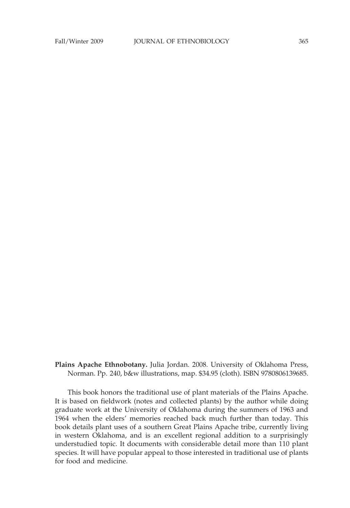Plains Apache Ethnobotany. Julia Jordan. 2008. University of Oklahoma Press, Norman. Pp. 240, b&w illustrations, map. \$34.95 (cloth). ISBN 9780806139685.

This book honors the traditional use of plant materials of the Plains Apache. It is based on fieldwork (notes and collected plants) by the author while doing graduate work at the University of Oklahoma during the summers of 1963 and 1964 when the elders' memories reached back much further than today. This book details plant uses of a southern Great Plains Apache tribe, currently living in western Oklahoma, and is an excellent regional addition to a surprisingly understudied topic. It documents with considerable detail more than 110 plant species. It will have popular appeal to those interested in traditional use of plants for food and medicine.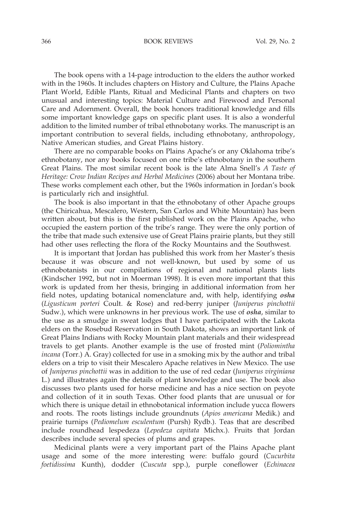## 366 BOOK REVIEWS Vol. 29, No. 2

The book opens with a 14-page introduction to the elders the author worked with in the 1960s. It includes chapters on History and Culture, the Plains Apache Plant World, Edible Plants, Ritual and Medicinal Plants and chapters on two unusual and interesting topics: Material Culture and Firewood and Personal Care and Adornment. Overall, the book honors traditional knowledge and fills some important knowledge gaps on specific plant uses. It is also a wonderful addition to the limited number of tribal ethnobotany works. The manuscript is an important contribution to several fields, including ethnobotany, anthropology, Native American studies, and Great Plains history.

There are no comparable books on Plains Apache's or any Oklahoma tribe's ethnobotany, nor any books focused on one tribe's ethnobotany in the southern Great Plains. The most similar recent book is the late Alma Snell's A Taste of Heritage: Crow Indian Recipes and Herbal Medicines (2006) about her Montana tribe. These works complement each other, but the 1960s information in Jordan's book is particularly rich and insightful.

The book is also important in that the ethnobotany of other Apache groups (the Chiricahua, Mescalero, Western, San Carlos and White Mountain) has been written about, but this is the first published work on the Plains Apache, who occupied the eastern portion of the tribe's range. They were the only portion of the tribe that made such extensive use of Great Plains prairie plants, but they still had other uses reflecting the flora of the Rocky Mountains and the Southwest.

It is important that Jordan has published this work from her Master's thesis because it was obscure and not well-known, but used by some of us ethnobotanists in our compilations of regional and national plants lists (Kindscher 1992, but not in Moerman 1998). It is even more important that this work is updated from her thesis, bringing in additional information from her field notes, updating botanical nomenclature and, with help, identifying *osha* (Ligusticum porteri Coult. & Rose) and red-berry juniper (Juniperus pinchottii Sudw.), which were unknowns in her previous work. The use of osha, similar to the use as a smudge in sweat lodges that I have participated with the Lakota elders on the Rosebud Reservation in South Dakota, shows an important link of Great Plains Indians with Rocky Mountain plant materials and their widespread travels to get plants. Another example is the use of frosted mint (Poliomintha incana (Torr.) A. Gray) collected for use in a smoking mix by the author and tribal elders on a trip to visit their Mescalero Apache relatives in New Mexico. The use of Juniperus pinchottii was in addition to the use of red cedar (Juniperus virginiana L.) and illustrates again the details of plant knowledge and use. The book also discusses two plants used for horse medicine and has a nice section on peyote and collection of it in south Texas. Other food plants that are unusual or for which there is unique detail in ethnobotanical information include yucca flowers and roots. The roots listings include groundnuts (Apios americana Medik.) and prairie turnips (Pediomelum esculentum (Pursh) Rydb.). Teas that are described include roundhead lespedeza (Lepedeza capitata Michx.). Fruits that Jordan describes include several species of plums and grapes.

Medicinal plants were a very important part of the Plains Apache plant usage and some of the more interesting were: buffalo gourd (Cucurbita foetidissima Kunth), dodder (Cuscuta spp.), purple coneflower (Echinacea